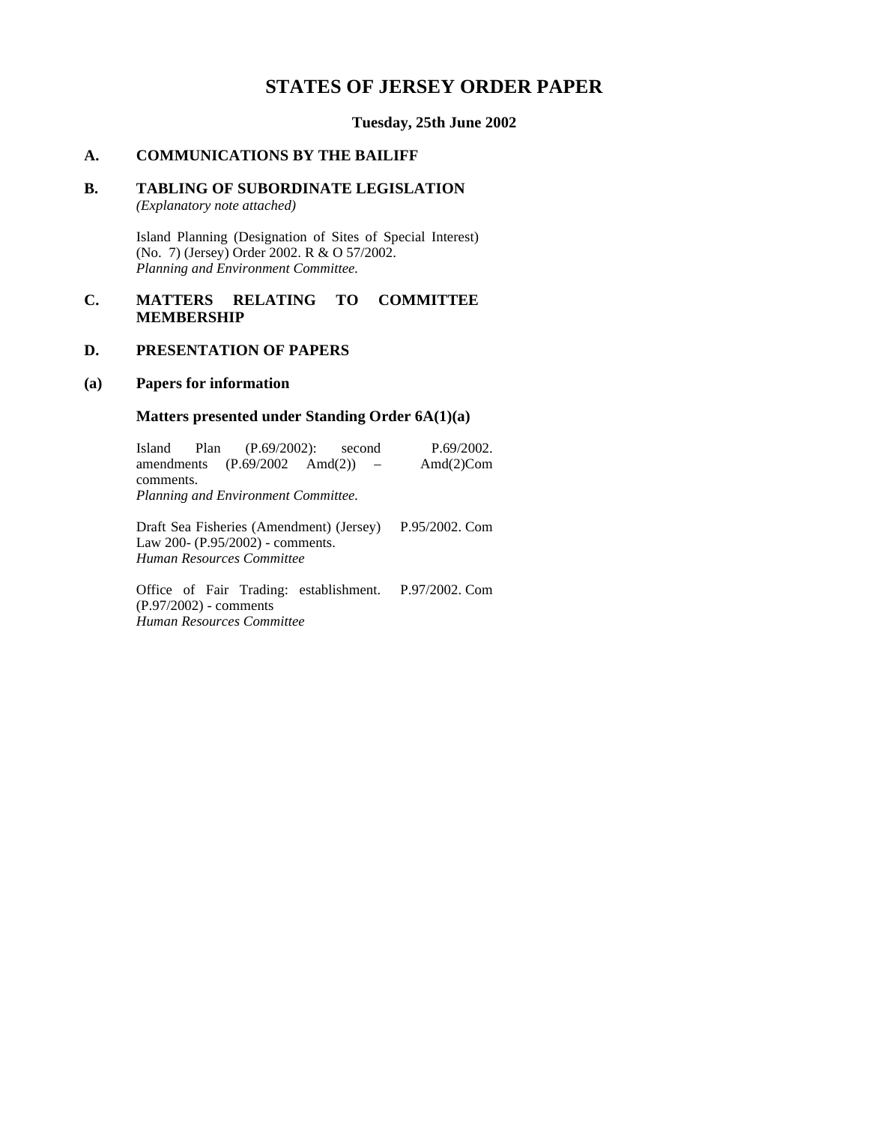# **STATES OF JERSEY ORDER PAPER**

**Tuesday, 25th June 2002**

# **A. COMMUNICATIONS BY THE BAILIFF**

# **B. TABLING OF SUBORDINATE LEGISLATION**

*(Explanatory note attached)*

Island Planning (Designation of Sites of Special Interest) (No. 7) (Jersey) Order 2002. R & O 57/2002. *Planning and Environment Committee.*

# **C. MATTERS RELATING TO COMMITTEE MEMBERSHIP**

## **D. PRESENTATION OF PAPERS**

#### **(a) Papers for information**

#### **Matters presented under Standing Order 6A(1)(a)**

|                                                  |  | Island Plan (P.69/2002): second           |  |  |  | P.69/2002.     |  |
|--------------------------------------------------|--|-------------------------------------------|--|--|--|----------------|--|
|                                                  |  | amendments $(P.69/2002 \text{ And}(2))$ - |  |  |  | Amd $(2)$ Com  |  |
| comments.<br>Planning and Environment Committee. |  |                                           |  |  |  |                |  |
|                                                  |  | Draft Sea Fisheries (Amendment) (Jersey)  |  |  |  | P.95/2002. Com |  |

Law 200- (P.95/2002) - comments. *Human Resources Committee*

Office of Fair Trading: establishment. P.97/2002. Com(P.97/2002) - comments *Human Resources Committee*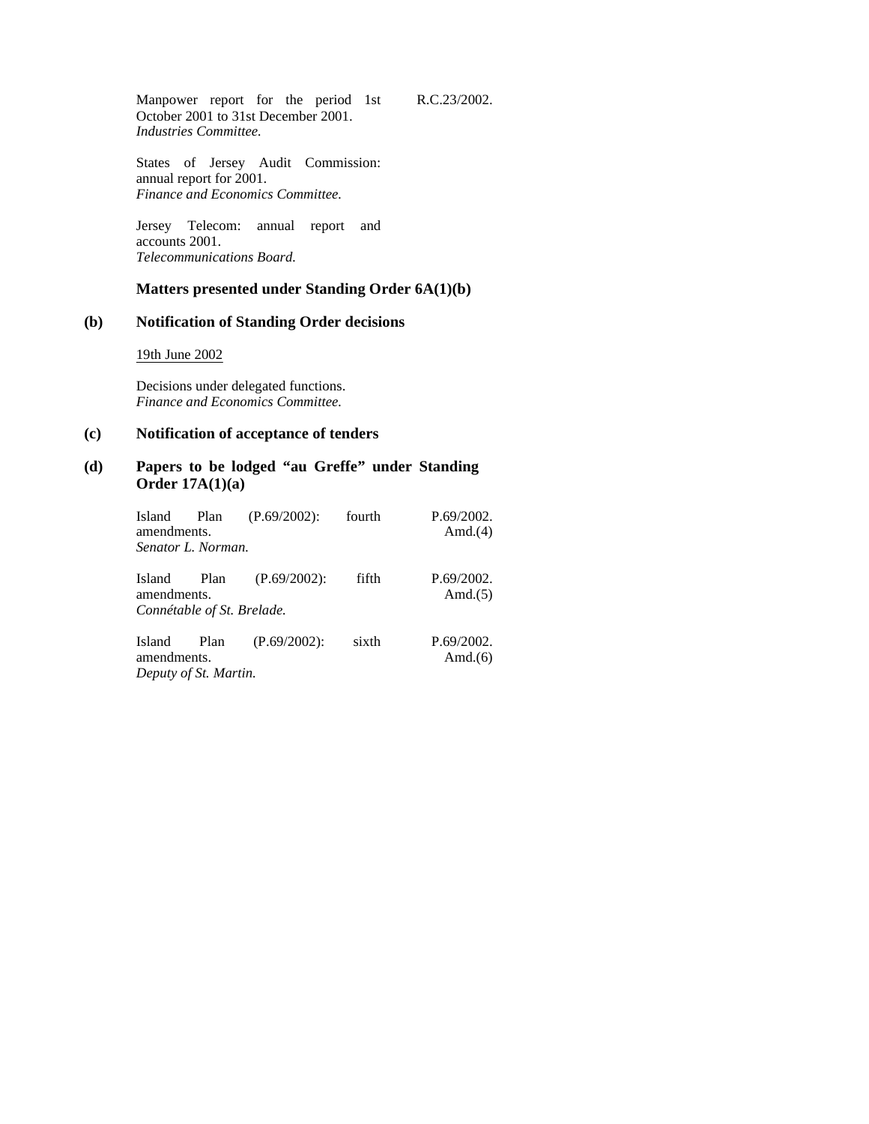Manpower report for the period 1st October 2001 to 31st December 2001. *Industries Committee.*

States of Jersey Audit Commission: annual report for 2001. *Finance and Economics Committee.*

Jersey Telecom: annual report and accounts 2001. *Telecommunications Board.*

# **Matters presented under Standing Order 6A(1)(b)**

R.C.23/2002.

# **(b) Notification of Standing Order decisions**

19th June 2002

Decisions under delegated functions. *Finance and Economics Committee.*

# **(c) Notification of acceptance of tenders**

### **(d) Papers to be lodged "au Greffe" under Standing Order 17A(1)(a)**

| Island<br>amendments.<br>Senator L. Norman.         | Plan | $(P.69/2002)$ : | fourth | P.69/2002.<br>Amd. $(4)$ |
|-----------------------------------------------------|------|-----------------|--------|--------------------------|
| Island<br>amendments.<br>Connétable of St. Brelade. | Plan | $(P.69/2002)$ : | fifth  | P.69/2002.<br>Amd. $(5)$ |
| Island<br>amendments.<br>Deputy of St. Martin.      | Plan | $(P.69/2002)$ : | sixth  | P.69/2002.<br>Amd. $(6)$ |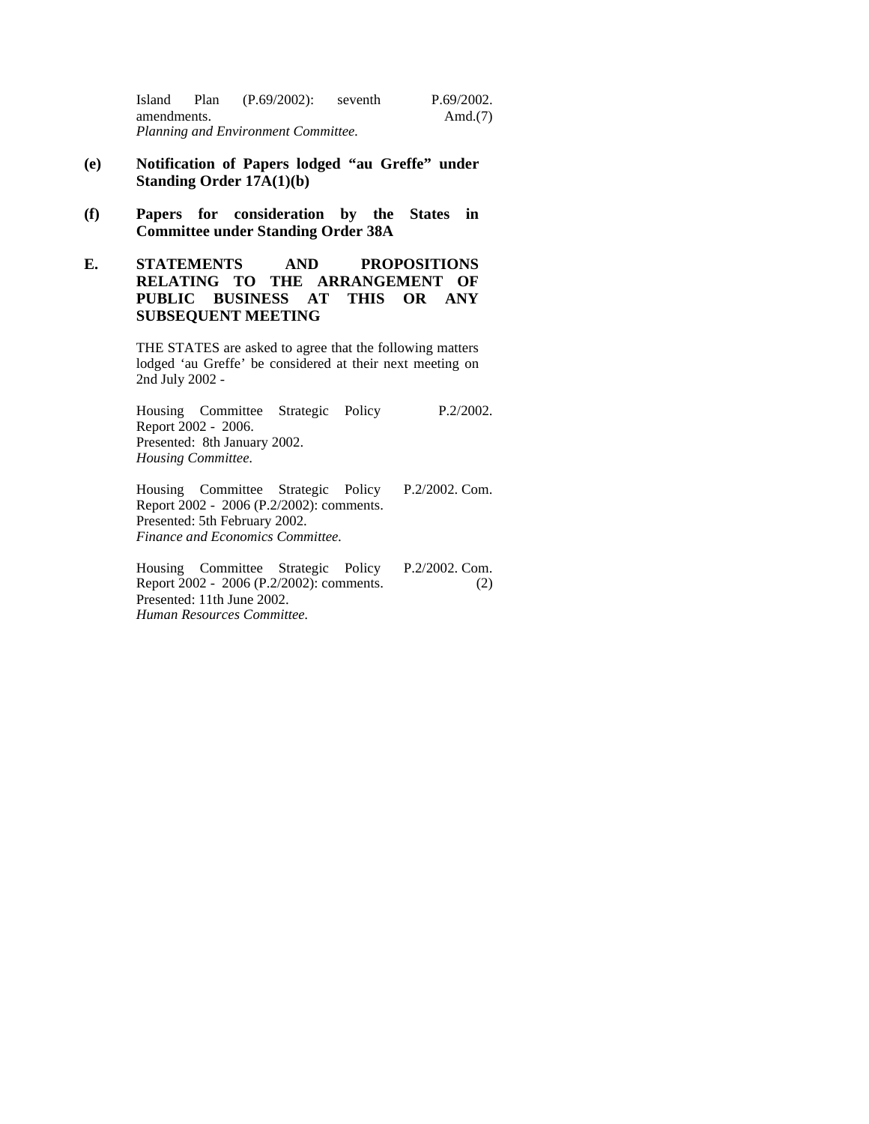Island Plan (P.69/2002): seventh amendments. *Planning and Environment Committee.* P.69/2002. Amd.(7)

- **(e) Notification of Papers lodged "au Greffe" under Standing Order 17A(1)(b)**
- **(f) Papers for consideration by the States in Committee under Standing Order 38A**
- **E. STATEMENTS AND PROPOSITIONS RELATING TO THE ARRANGEMENT OF PUBLIC BUSINESS AT THIS OR ANY SUBSEQUENT MEETING**

THE STATES are asked to agree that the following matters lodged 'au Greffe' be considered at their next meeting on 2nd July 2002 -

Housing Committee Strategic Policy Report 2002 - 2006. Presented: 8th January 2002. *Housing Committee.* P.2/2002.

Housing Committee Strategic Policy Report 2002 - 2006 (P.2/2002): comments. Presented: 5th February 2002. *Finance and Economics Committee.* P.2/2002. Com.

Housing Committee Strategic Policy Report 2002 - 2006 (P.2/2002): comments. Presented: 11th June 2002. *Human Resources Committee.* P.2/2002. Com. (2)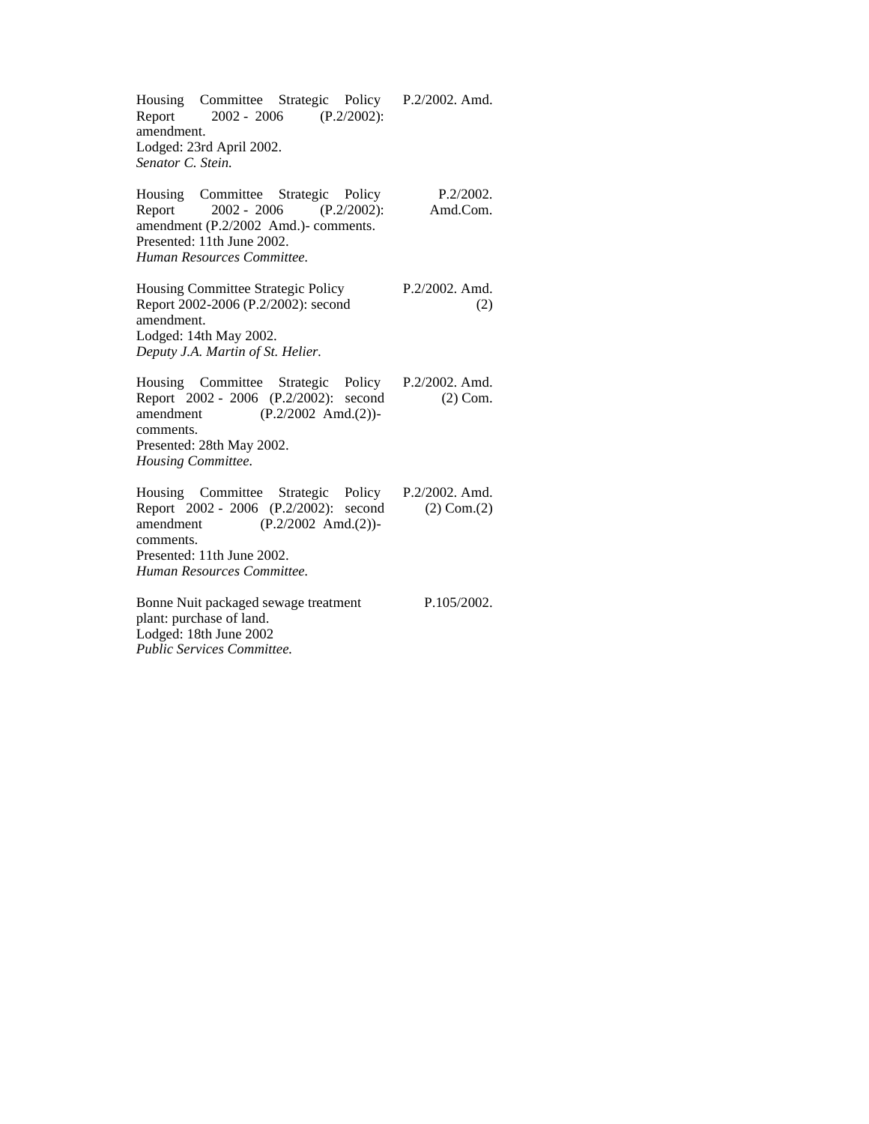|                          |                                |  |  | Housing Committee Strategic Policy P.2/2002. Amd. |  |  |
|--------------------------|--------------------------------|--|--|---------------------------------------------------|--|--|
|                          | Report 2002 - 2006 (P.2/2002): |  |  |                                                   |  |  |
| amendment.               |                                |  |  |                                                   |  |  |
| Lodged: 23rd April 2002. |                                |  |  |                                                   |  |  |
| Senator C. Stein.        |                                |  |  |                                                   |  |  |

| Housing Committee Strategic Policy<br>P.2/2002.<br>Report 2002 - 2006 (P.2/2002):<br>Amd.Com.<br>amendment (P.2/2002 Amd.)- comments.<br>Presented: 11th June 2002.<br>Human Resources Committee.                  |                          |  |  |  |  |  |
|--------------------------------------------------------------------------------------------------------------------------------------------------------------------------------------------------------------------|--------------------------|--|--|--|--|--|
| Housing Committee Strategic Policy<br>Report 2002-2006 (P.2/2002): second<br>amendment.<br>Lodged: 14th May 2002.<br>Deputy J.A. Martin of St. Helier.                                                             | $P.2/2002$ . Amd.<br>(2) |  |  |  |  |  |
| Housing Committee Strategic Policy P.2/2002. Amd.<br>Report 2002 - 2006 (P.2/2002): second<br>amendment (P.2/2002 Amd.(2))-<br>comments.<br>Presented: 28th May 2002.<br>Housing Committee.                        | $(2)$ Com.               |  |  |  |  |  |
| Housing Committee Strategic Policy P.2/2002. Amd.<br>Report 2002 - 2006 (P.2/2002): second<br>$(P.2/2002 \text{ Amd.}(2))$ -<br>amendment<br>comments.<br>Presented: 11th June 2002.<br>Human Resources Committee. | $(2)$ Com. $(2)$         |  |  |  |  |  |
| Bonne Nuit packaged sewage treatment<br>plant: purchase of land.                                                                                                                                                   | P.105/2002.              |  |  |  |  |  |

Lodged: 18th June 2002 *Public Services Committee.*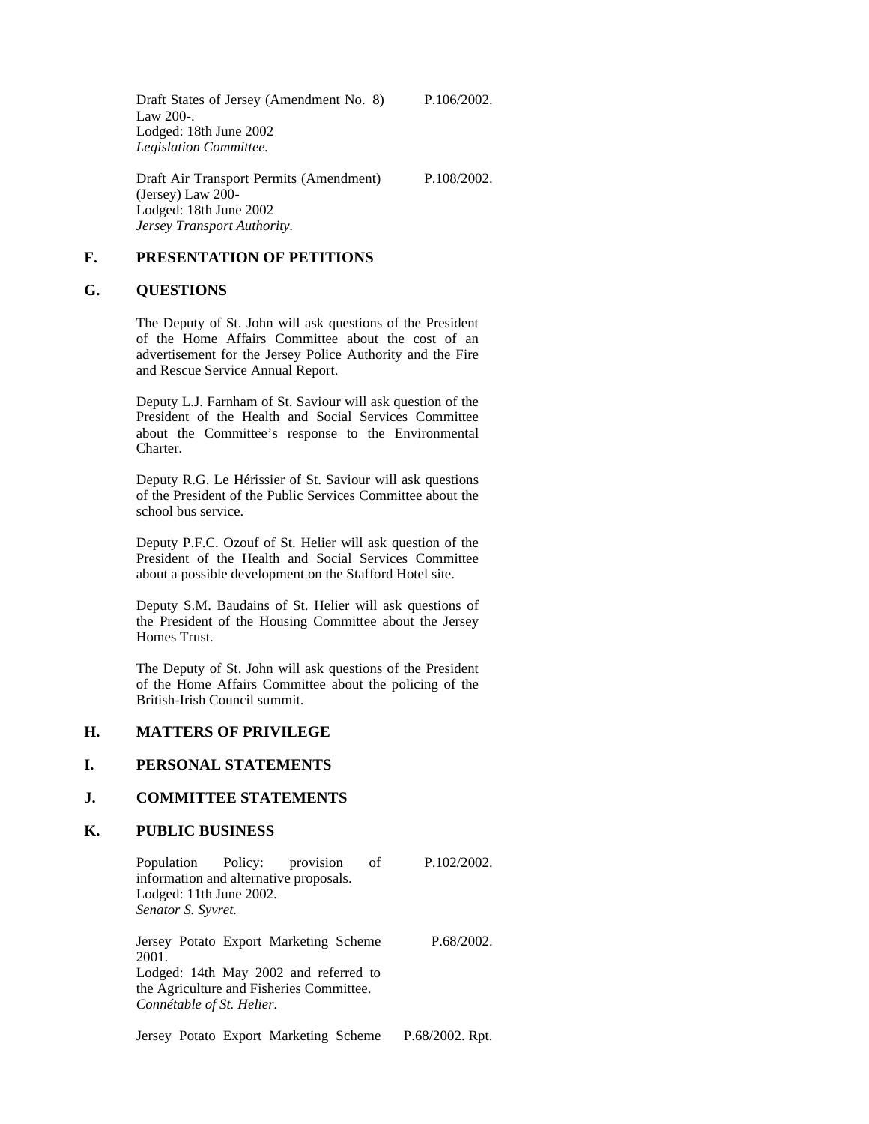Draft States of Jersey (Amendment No. 8) Law 200-. Lodged: 18th June 2002 *Legislation Committee.*

P.106/2002.

P.108/2002.

Draft Air Transport Permits (Amendment) (Jersey) Law 200- Lodged: 18th June 2002 *Jersey Transport Authority.*

#### **F. PRESENTATION OF PETITIONS**

#### **G. QUESTIONS**

The Deputy of St. John will ask questions of the President of the Home Affairs Committee about the cost of an advertisement for the Jersey Police Authority and the Fire and Rescue Service Annual Report.

Deputy L.J. Farnham of St. Saviour will ask question of the President of the Health and Social Services Committee about the Committee's response to the Environmental Charter.

Deputy R.G. Le Hérissier of St. Saviour will ask questions of the President of the Public Services Committee about the school bus service.

Deputy P.F.C. Ozouf of St. Helier will ask question of the President of the Health and Social Services Committee about a possible development on the Stafford Hotel site.

Deputy S.M. Baudains of St. Helier will ask questions of the President of the Housing Committee about the Jersey Homes Trust.

The Deputy of St. John will ask questions of the President of the Home Affairs Committee about the policing of the British-Irish Council summit.

#### **H. MATTERS OF PRIVILEGE**

# **I. PERSONAL STATEMENTS**

### **J. COMMITTEE STATEMENTS**

#### **K. PUBLIC BUSINESS**

Population Policy: provision of information and alternative proposals. Lodged: 11th June 2002. *Senator S. Syvret.* P.102/2002. Jersey Potato Export Marketing Scheme 2001. Lodged: 14th May 2002 and referred to the Agriculture and Fisheries Committee. *Connétable of St. Helier.* P.68/2002.

Jersey Potato Export Marketing Scheme P.68/2002. Rpt.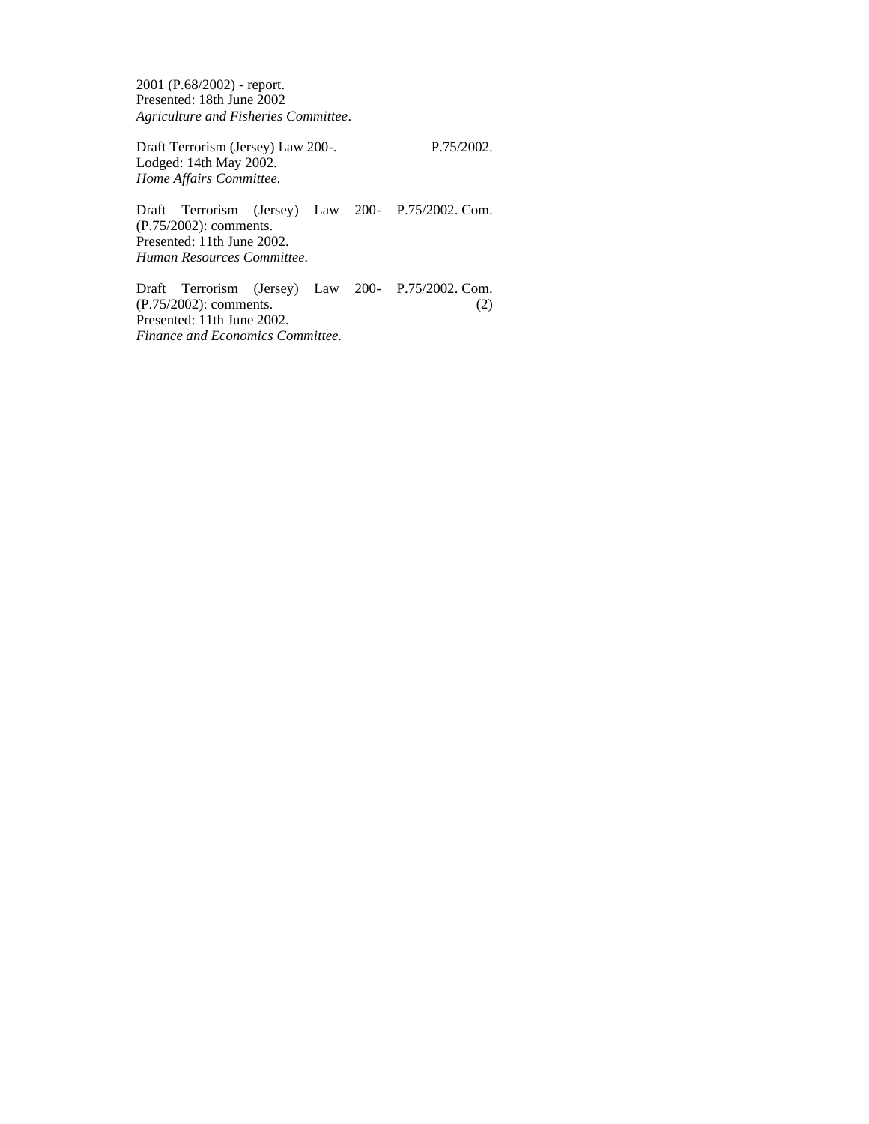2001 (P.68/2002) - report. Presented: 18th June 2002 *Agriculture and Fisheries Committee*.

Draft Terrorism (Jersey) Law 200-. Lodged: 14th May 2002. *Home Affairs Committee.*

P.75/2002.

Draft Terrorism (Jersey) Law 200- P.75/2002. Com. (P.75/2002): comments. Presented: 11th June 2002. *Human Resources Committee.*

Draft Terrorism (Jersey) Law 200- P.75/2002. Com. (P.75/2002): comments. Presented: 11th June 2002. *Finance and Economics Committee.* (2)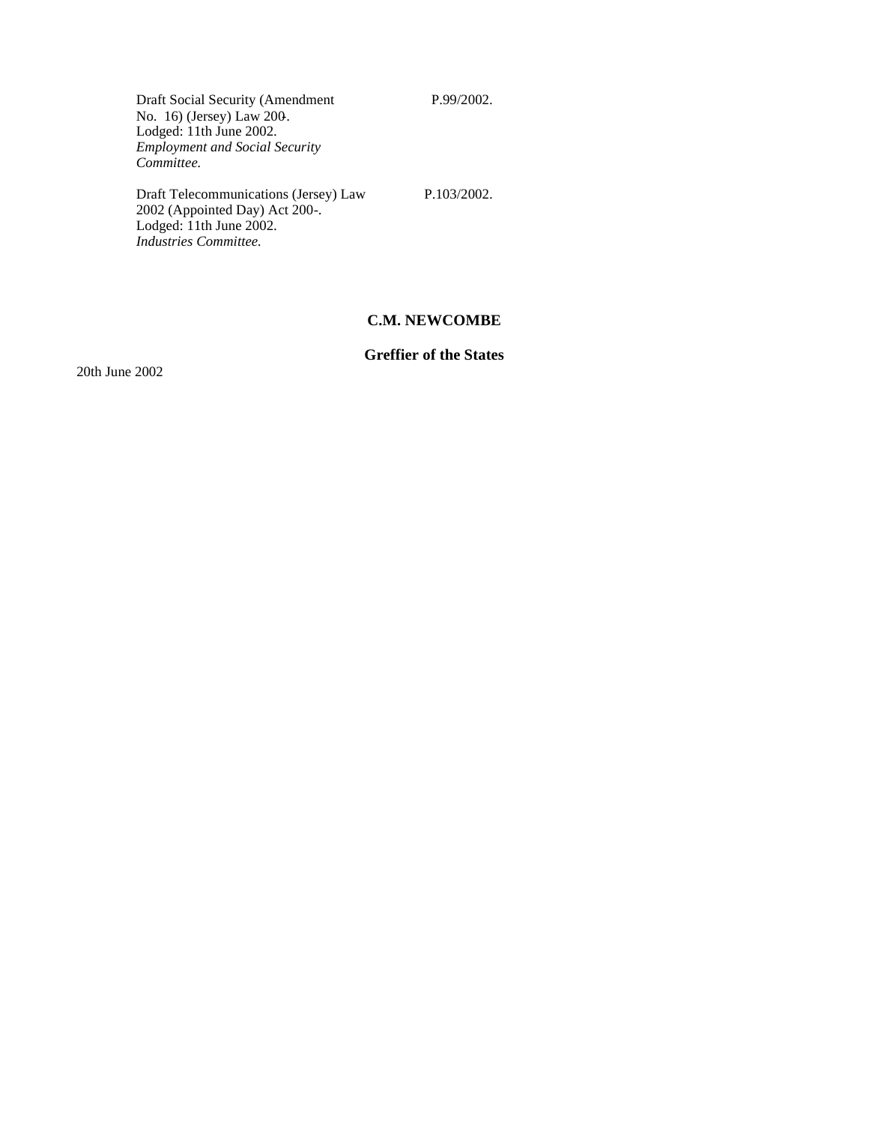P.99/2002.

Draft Social Security (Amendment No. 16) (Jersey) Law 200-. Lodged: 11th June 2002. *Employment and Social Security Committee.*

Draft Telecommunications (Jersey) Law 2002 (Appointed Day) Act 200-. Lodged: 11th June 2002. *Industries Committee.*

P.103/2002.

# **C.M. NEWCOMBE**

# **Greffier of the States**

20th June 2002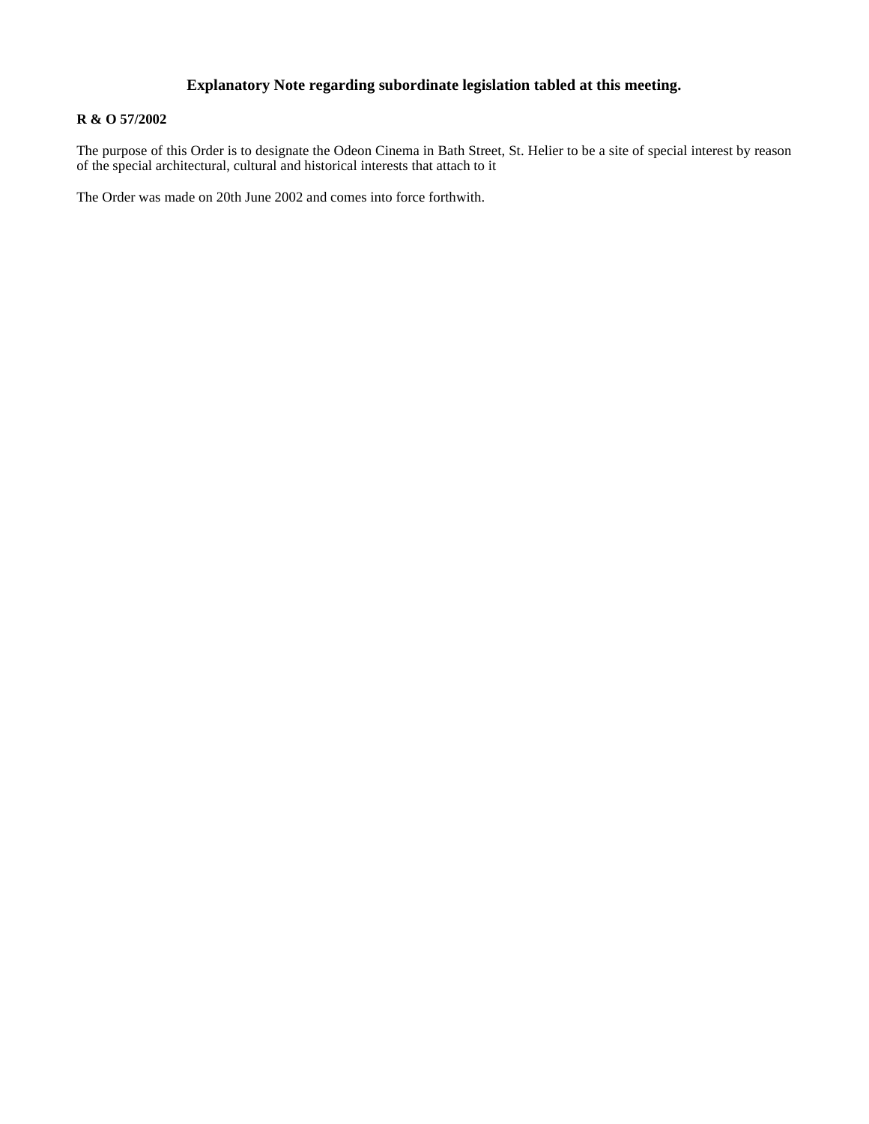# **Explanatory Note regarding subordinate legislation tabled at this meeting.**

# **R & O 57/2002**

The purpose of this Order is to designate the Odeon Cinema in Bath Street, St. Helier to be a site of special interest by reason of the special architectural, cultural and historical interests that attach to it

The Order was made on 20th June 2002 and comes into force forthwith.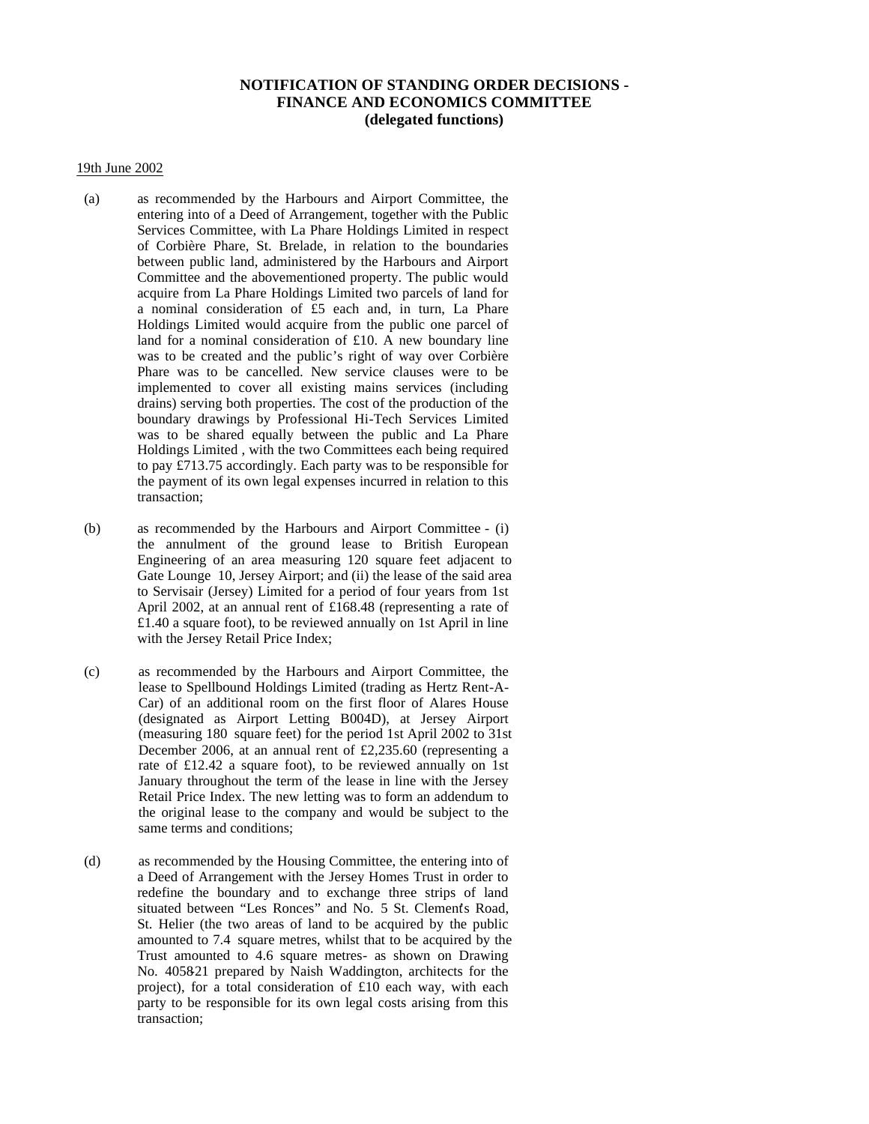### **NOTIFICATION OF STANDING ORDER DECISIONS - FINANCE AND ECONOMICS COMMITTEE (delegated functions)**

#### 19th June 2002

- (a) as recommended by the Harbours and Airport Committee, the entering into of a Deed of Arrangement, together with the Public Services Committee, with La Phare Holdings Limited in respect of Corbière Phare, St. Brelade, in relation to the boundaries between public land, administered by the Harbours and Airport Committee and the abovementioned property. The public would acquire from La Phare Holdings Limited two parcels of land for a nominal consideration of £5 each and, in turn, La Phare Holdings Limited would acquire from the public one parcel of land for a nominal consideration of £10. A new boundary line was to be created and the public's right of way over Corbière Phare was to be cancelled. New service clauses were to be implemented to cover all existing mains services (including drains) serving both properties. The cost of the production of the boundary drawings by Professional Hi-Tech Services Limited was to be shared equally between the public and La Phare Holdings Limited , with the two Committees each being required to pay £713.75 accordingly. Each party was to be responsible for the payment of its own legal expenses incurred in relation to this transaction;
- (b) as recommended by the Harbours and Airport Committee (i) the annulment of the ground lease to British European Engineering of an area measuring 120 square feet adjacent to Gate Lounge 10, Jersey Airport; and (ii) the lease of the said area to Servisair (Jersey) Limited for a period of four years from 1st April 2002, at an annual rent of £168.48 (representing a rate of £1.40 a square foot), to be reviewed annually on 1st April in line with the Jersey Retail Price Index;
- (c) as recommended by the Harbours and Airport Committee, the lease to Spellbound Holdings Limited (trading as Hertz Rent-A-Car) of an additional room on the first floor of Alares House (designated as Airport Letting B004D), at Jersey Airport (measuring 180 square feet) for the period 1st April 2002 to 31st December 2006, at an annual rent of £2,235.60 (representing a rate of £12.42 a square foot), to be reviewed annually on 1st January throughout the term of the lease in line with the Jersey Retail Price Index. The new letting was to form an addendum to the original lease to the company and would be subject to the same terms and conditions;
- (d) as recommended by the Housing Committee, the entering into of a Deed of Arrangement with the Jersey Homes Trust in order to redefine the boundary and to exchange three strips of land situated between "Les Ronces" and No. 5 St. Clements Road, St. Helier (the two areas of land to be acquired by the public amounted to 7.4 square metres, whilst that to be acquired by the Trust amounted to 4.6 square metres- as shown on Drawing No. 4058-21 prepared by Naish Waddington, architects for the project), for a total consideration of £10 each way, with each party to be responsible for its own legal costs arising from this transaction;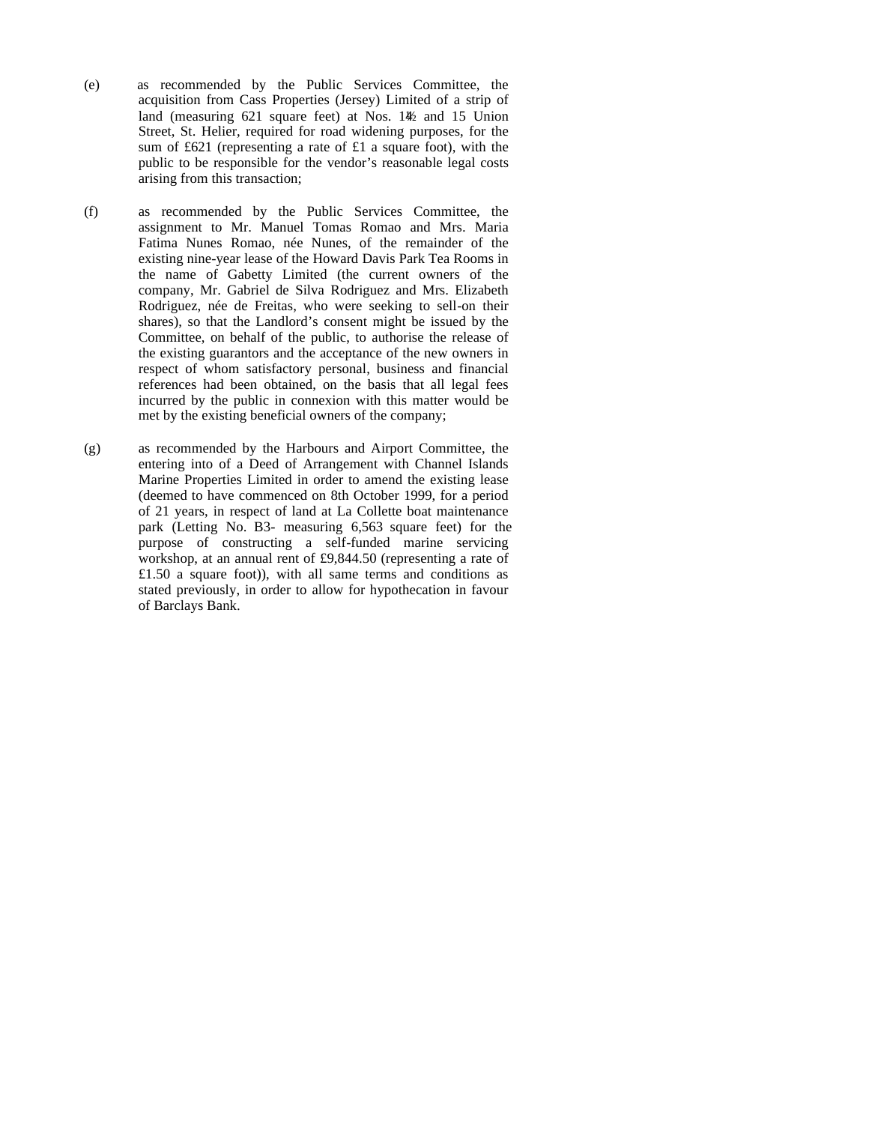- (e) as recommended by the Public Services Committee, the acquisition from Cass Properties (Jersey) Limited of a strip of land (measuring 621 square feet) at Nos. 1\% and 15 Union Street, St. Helier, required for road widening purposes, for the sum of £621 (representing a rate of £1 a square foot), with the public to be responsible for the vendor's reasonable legal costs arising from this transaction;
- (f) as recommended by the Public Services Committee, the assignment to Mr. Manuel Tomas Romao and Mrs. Maria Fatima Nunes Romao, née Nunes, of the remainder of the existing nine-year lease of the Howard Davis Park Tea Rooms in the name of Gabetty Limited (the current owners of the company, Mr. Gabriel de Silva Rodriguez and Mrs. Elizabeth Rodriguez, née de Freitas, who were seeking to sell-on their shares), so that the Landlord's consent might be issued by the Committee, on behalf of the public, to authorise the release of the existing guarantors and the acceptance of the new owners in respect of whom satisfactory personal, business and financial references had been obtained, on the basis that all legal fees incurred by the public in connexion with this matter would be met by the existing beneficial owners of the company;
- (g) as recommended by the Harbours and Airport Committee, the entering into of a Deed of Arrangement with Channel Islands Marine Properties Limited in order to amend the existing lease (deemed to have commenced on 8th October 1999, for a period of 21 years, in respect of land at La Collette boat maintenance park (Letting No. B3- measuring 6,563 square feet) for the purpose of constructing a self-funded marine servicing workshop, at an annual rent of £9,844.50 (representing a rate of £1.50 a square foot)), with all same terms and conditions as stated previously, in order to allow for hypothecation in favour of Barclays Bank.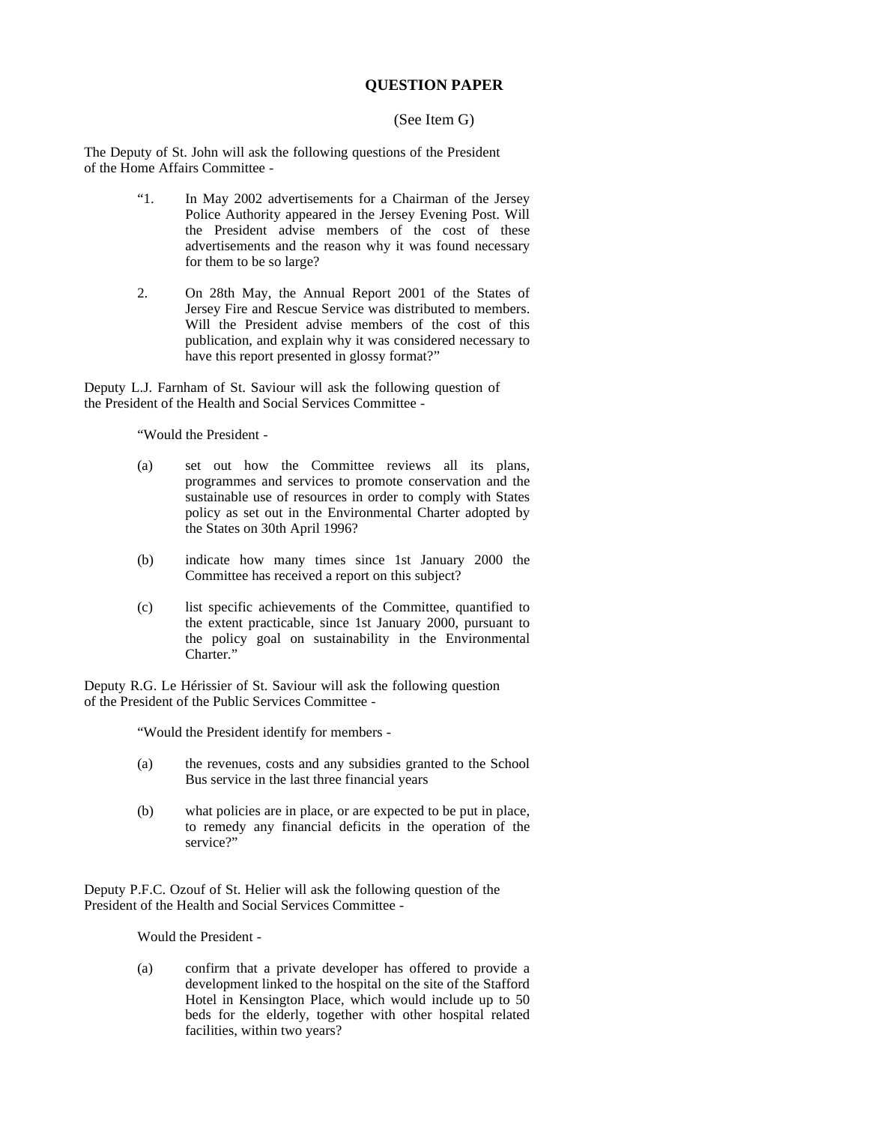### **QUESTION PAPER**

#### (See Item G)

The Deputy of St. John will ask the following questions of the President of the Home Affairs Committee -

- "1. In May 2002 advertisements for a Chairman of the Jersey Police Authority appeared in the Jersey Evening Post. Will the President advise members of the cost of these advertisements and the reason why it was found necessary for them to be so large?
- 2. On 28th May, the Annual Report 2001 of the States of Jersey Fire and Rescue Service was distributed to members. Will the President advise members of the cost of this publication, and explain why it was considered necessary to have this report presented in glossy format?"

Deputy L.J. Farnham of St. Saviour will ask the following question of the President of the Health and Social Services Committee -

"Would the President -

- (a) set out how the Committee reviews all its plans, programmes and services to promote conservation and the sustainable use of resources in order to comply with States policy as set out in the Environmental Charter adopted by the States on 30th April 1996?
- (b) indicate how many times since 1st January 2000 the Committee has received a report on this subject?
- (c) list specific achievements of the Committee, quantified to the extent practicable, since 1st January 2000, pursuant to the policy goal on sustainability in the Environmental Charter."

Deputy R.G. Le Hérissier of St. Saviour will ask the following question of the President of the Public Services Committee -

"Would the President identify for members -

- (a) the revenues, costs and any subsidies granted to the School Bus service in the last three financial years
- (b) what policies are in place, or are expected to be put in place, to remedy any financial deficits in the operation of the service?"

Deputy P.F.C. Ozouf of St. Helier will ask the following question of the President of the Health and Social Services Committee -

Would the President -

(a) confirm that a private developer has offered to provide a development linked to the hospital on the site of the Stafford Hotel in Kensington Place, which would include up to 50 beds for the elderly, together with other hospital related facilities, within two years?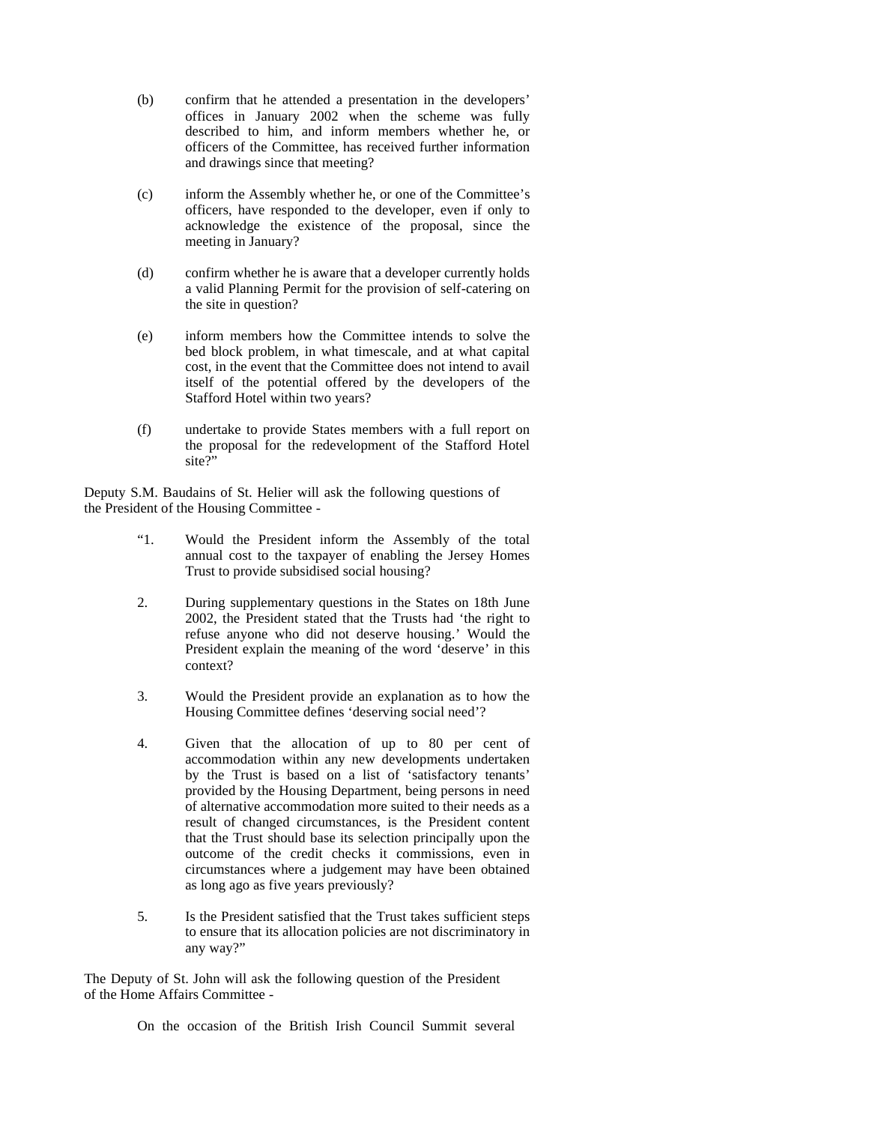- (b) confirm that he attended a presentation in the developers' offices in January 2002 when the scheme was fully described to him, and inform members whether he, or officers of the Committee, has received further information and drawings since that meeting?
- (c) inform the Assembly whether he, or one of the Committee's officers, have responded to the developer, even if only to acknowledge the existence of the proposal, since the meeting in January?
- (d) confirm whether he is aware that a developer currently holds a valid Planning Permit for the provision of self-catering on the site in question?
- (e) inform members how the Committee intends to solve the bed block problem, in what timescale, and at what capital cost, in the event that the Committee does not intend to avail itself of the potential offered by the developers of the Stafford Hotel within two years?
- (f) undertake to provide States members with a full report on the proposal for the redevelopment of the Stafford Hotel site?"

Deputy S.M. Baudains of St. Helier will ask the following questions of the President of the Housing Committee -

- "1. Would the President inform the Assembly of the total annual cost to the taxpayer of enabling the Jersey Homes Trust to provide subsidised social housing?
- 2. During supplementary questions in the States on 18th June 2002, the President stated that the Trusts had 'the right to refuse anyone who did not deserve housing.' Would the President explain the meaning of the word 'deserve' in this context?
- 3. Would the President provide an explanation as to how the Housing Committee defines 'deserving social need'?
- 4. Given that the allocation of up to 80 per cent of accommodation within any new developments undertaken by the Trust is based on a list of 'satisfactory tenants' provided by the Housing Department, being persons in need of alternative accommodation more suited to their needs as a result of changed circumstances, is the President content that the Trust should base its selection principally upon the outcome of the credit checks it commissions, even in circumstances where a judgement may have been obtained as long ago as five years previously?
- 5. Is the President satisfied that the Trust takes sufficient steps to ensure that its allocation policies are not discriminatory in any way?"

The Deputy of St. John will ask the following question of the President of the Home Affairs Committee -

On the occasion of the British Irish Council Summit several